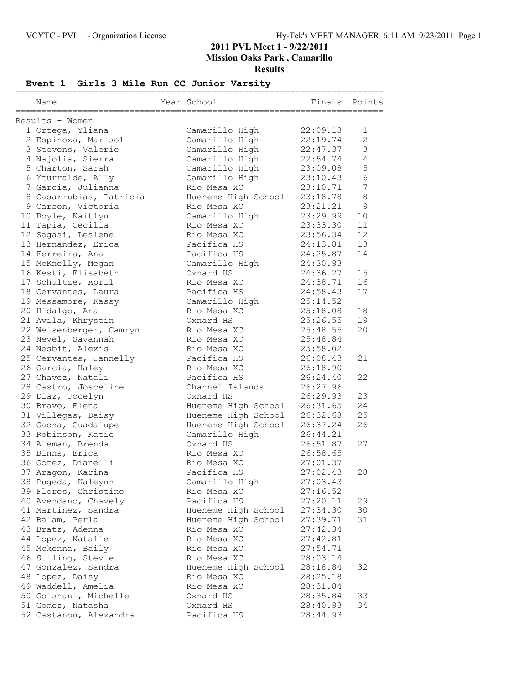## **Event 1 Girls 3 Mile Run CC Junior Varsity**

|                         |                     | =====    |                  |
|-------------------------|---------------------|----------|------------------|
| Name                    | Year School         | Finals   | Points           |
| Results - Women         |                     |          |                  |
| 1 Ortega, Yliana        | Camarillo High      | 22:09.18 | 1                |
| 2 Espinoza, Marisol     | Camarillo High      | 22:19.74 | $\overline{2}$   |
| 3 Stevens, Valerie      | Camarillo High      | 22:47.37 | 3                |
| 4 Najolia, Sierra       |                     | 22:54.74 | $\overline{4}$   |
| 5 Charton, Sarah        | Camarillo High      |          | 5                |
|                         | Camarillo High      | 23:09.08 | 6                |
| 6 Yturralde, Ally       | Camarillo High      | 23:10.43 | $\boldsymbol{7}$ |
| 7 Garcia, Julianna      | Rio Mesa XC         | 23:10.71 |                  |
| 8 Casarrubias, Patricia | Hueneme High School | 23:18.78 | $\,8\,$          |
| 9 Carson, Victoria      | Rio Mesa XC         | 23:21.21 | $\mathsf 9$      |
| 10 Boyle, Kaitlyn       | Camarillo High      | 23:29.99 | 10               |
| 11 Tapia, Cecilia       | Rio Mesa XC         | 23:33.30 | 11               |
| 12 Sagasi, Leslene      | Rio Mesa XC         | 23:56.34 | 12               |
| 13 Hernandez, Erica     | Pacifica HS         | 24:13.81 | 13               |
| 14 Ferreira, Ana        | Pacifica HS         | 24:25.87 | 14               |
| 15 McKnelly, Megan      | Camarillo High      | 24:30.93 |                  |
| 16 Kesti, Elisabeth     | Oxnard HS           | 24:36.27 | 15               |
| 17 Schultze, April      | Rio Mesa XC         | 24:38.71 | 16               |
| 18 Cervantes, Laura     | Pacifica HS         | 24:58.43 | 17               |
| 19 Messamore, Kassy     | Camarillo High      | 25:14.52 |                  |
| 20 Hidalgo, Ana         | Rio Mesa XC         | 25:18.08 | 18               |
| 21 Avila, Khrystin      | Oxnard HS           | 25:26.55 | 19               |
| 22 Weisenberger, Camryn | Rio Mesa XC         | 25:48.55 | 20               |
| 23 Nevel, Savannah      | Rio Mesa XC         | 25:48.84 |                  |
| 24 Nesbit, Alexis       | Rio Mesa XC         | 25:58.02 |                  |
| 25 Cervantes, Jannelly  | Pacifica HS         | 26:08.43 | 21               |
| 26 Garcia, Haley        | Rio Mesa XC         | 26:18.90 |                  |
| 27 Chavez, Natali       | Pacifica HS         | 26:24.40 | 22               |
| 28 Castro, Josceline    | Channel Islands     | 26:27.96 |                  |
| 29 Diaz, Jocelyn        | Oxnard HS           | 26:29.93 | 23               |
| 30 Bravo, Elena         | Hueneme High School | 26:31.65 | 24               |
| 31 Villegas, Daisy      | Hueneme High School | 26:32.68 | 25               |
| 32 Gaona, Guadalupe     | Hueneme High School | 26:37.24 | 26               |
| 33 Robinson, Katie      | Camarillo High      | 26:44.21 |                  |
| 34 Aleman, Brenda       | Oxnard HS           | 26:51.87 | 27               |
| 35 Binns, Erica         | Rio Mesa XC         | 26:58.65 |                  |
| 36 Gomez, Dianelli      | Rio Mesa XC         | 27:01.37 |                  |
| 37 Aragon, Karina       | Pacifica HS         | 27:02.43 | 28               |
| 38 Pugeda, Kaleynn      | Camarillo High      | 27:03.43 |                  |
| 39 Flores, Christine    | Rio Mesa XC         | 27:16.52 |                  |
| 40 Avendano, Chavely    | Pacifica HS         | 27:20.11 | 29               |
| 41 Martinez, Sandra     | Hueneme High School | 27:34.30 | 30               |
| 42 Balam, Perla         | Hueneme High School | 27:39.71 | 31               |
| 43 Bratz, Adenna        | Rio Mesa XC         | 27:42.34 |                  |
| 44 Lopez, Natalie       | Rio Mesa XC         | 27:42.81 |                  |
| 45 Mckenna, Baily       | Rio Mesa XC         | 27:54.71 |                  |
| 46 Stiling, Stevie      | Rio Mesa XC         | 28:03.14 |                  |
| 47 Gonzalez, Sandra     | Hueneme High School | 28:18.84 | 32               |
| 48 Lopez, Daisy         | Rio Mesa XC         | 28:25.18 |                  |
| 49 Waddell, Amelia      | Rio Mesa XC         | 28:31.84 |                  |
| 50 Golshani, Michelle   | Oxnard HS           | 28:35.84 | 33               |
| 51 Gomez, Natasha       | Oxnard HS           | 28:40.93 | 34               |
| 52 Castanon, Alexandra  | Pacifica HS         | 28:44.93 |                  |
|                         |                     |          |                  |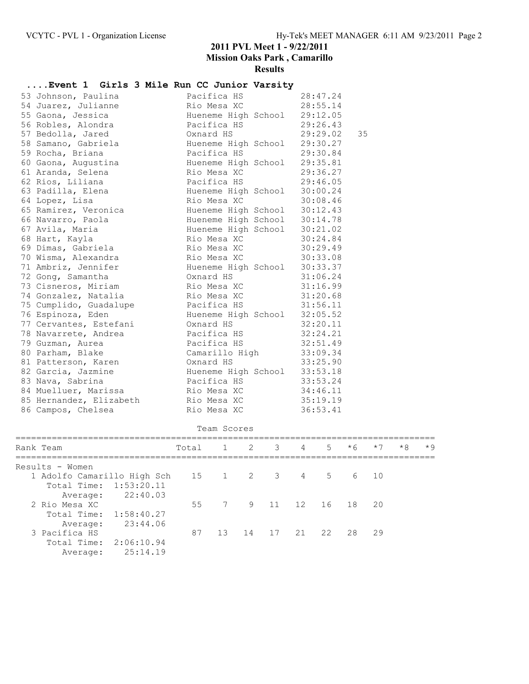# **....Event 1 Girls 3 Mile Run CC Junior Varsity**

|  | 53 Johnson, Paulina     | Pacifica HS                  | 28:47.24 |    |
|--|-------------------------|------------------------------|----------|----|
|  | 54 Juarez, Julianne     | Rio Mesa XC                  | 28:55.14 |    |
|  | 55 Gaona, Jessica       | Hueneme High School          | 29:12.05 |    |
|  | 56 Robles, Alondra      | Pacifica HS                  | 29:26.43 |    |
|  | 57 Bedolla, Jared       | Oxnard HS                    | 29:29.02 | 35 |
|  | 58 Samano, Gabriela     | Hueneme High School          | 29:30.27 |    |
|  | 59 Rocha, Briana        | Pacifica HS                  | 29:30.84 |    |
|  | 60 Gaona, Augustina     | Hueneme High School          | 29:35.81 |    |
|  | 61 Aranda, Selena       | Rio Mesa XC                  | 29:36.27 |    |
|  | 62 Rios, Liliana        | Pacifica HS                  | 29:46.05 |    |
|  | 63 Padilla, Elena       | Hueneme High School          | 30:00.24 |    |
|  | 64 Lopez, Lisa          | Rio Mesa XC                  | 30:08.46 |    |
|  | 65 Ramirez, Veronica    | Hueneme High School 30:12.43 |          |    |
|  | 66 Navarro, Paola       | Hueneme High School          | 30:14.78 |    |
|  | 67 Avila, Maria         | Hueneme High School          | 30:21.02 |    |
|  | 68 Hart, Kayla          | Rio Mesa XC                  | 30:24.84 |    |
|  | 69 Dimas, Gabriela      | Rio Mesa XC                  | 30:29.49 |    |
|  | 70 Wisma, Alexandra     | Rio Mesa XC                  | 30:33.08 |    |
|  | 71 Ambriz, Jennifer     | Hueneme High School          | 30:33.37 |    |
|  | 72 Gong, Samantha       | Oxnard HS                    | 31:06.24 |    |
|  | 73 Cisneros, Miriam     | Rio Mesa XC                  | 31:16.99 |    |
|  | 74 Gonzalez, Natalia    | Rio Mesa XC                  | 31:20.68 |    |
|  | 75 Cumplido, Guadalupe  | Pacifica HS                  | 31:56.11 |    |
|  | 76 Espinoza, Eden       | Hueneme High School 32:05.52 |          |    |
|  | 77 Cervantes, Estefani  | Oxnard HS                    | 32:20.11 |    |
|  | 78 Navarrete, Andrea    | Pacifica HS                  | 32:24.21 |    |
|  | 79 Guzman, Aurea        | Pacifica HS                  | 32:51.49 |    |
|  | 80 Parham, Blake        | Camarillo High               | 33:09.34 |    |
|  | 81 Patterson, Karen     | Oxnard HS                    | 33:25.90 |    |
|  | 82 Garcia, Jazmine      | Hueneme High School 33:53.18 |          |    |
|  | 83 Nava, Sabrina        | Pacifica HS                  | 33:53.24 |    |
|  | 84 Muelluer, Marissa    | Rio Mesa XC                  | 34:46.11 |    |
|  | 85 Hernandez, Elizabeth | Rio Mesa XC                  | 35:19.19 |    |
|  | 86 Campos, Chelsea      | Rio Mesa XC                  | 36:53.41 |    |
|  |                         |                              |          |    |

|                             | Team Scores       |  |                    |  |  |  |         |      |      |      |  |
|-----------------------------|-------------------|--|--------------------|--|--|--|---------|------|------|------|--|
| Rank Team                   | Total             |  | 1 2 3 4            |  |  |  | $5 * 6$ | $*7$ | $*8$ | $*9$ |  |
| Results - Women             |                   |  |                    |  |  |  |         |      |      |      |  |
| 1 Adolfo Camarillo High Sch | 15 1 2 3 4 5 6 10 |  |                    |  |  |  |         |      |      |      |  |
| Total Time: 1:53:20.11      |                   |  |                    |  |  |  |         |      |      |      |  |
| 22:40.03<br>Average:        |                   |  |                    |  |  |  |         |      |      |      |  |
| 2 Rio Mesa XC               | 55                |  | 7 9 11 12 16 18 20 |  |  |  |         |      |      |      |  |
| Total Time: 1:58:40.27      |                   |  |                    |  |  |  |         |      |      |      |  |
| 23:44.06<br>Average:        |                   |  |                    |  |  |  |         |      |      |      |  |
| 3 Pacifica HS               | 87                |  | 13 14 17 21 22 28  |  |  |  |         | 29   |      |      |  |
| Total Time:<br>2:06:10.94   |                   |  |                    |  |  |  |         |      |      |      |  |
| 25:14.19<br>Average:        |                   |  |                    |  |  |  |         |      |      |      |  |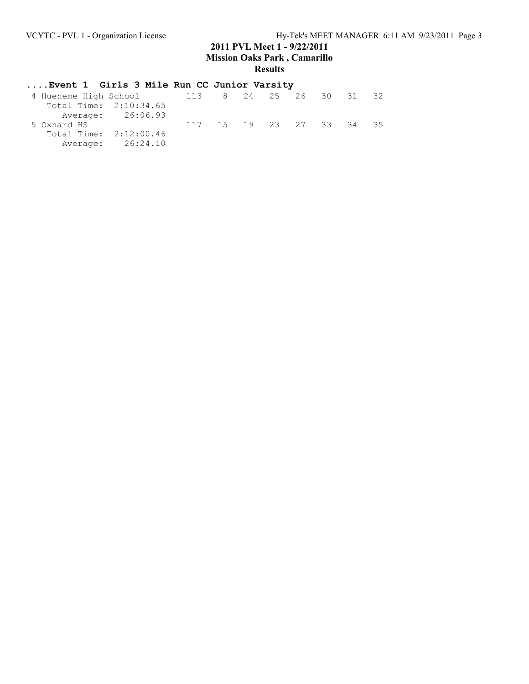# **....Event 1 Girls 3 Mile Run CC Junior Varsity**

| 4 Hueneme High School  |  |     |  |  |                                           |
|------------------------|--|-----|--|--|-------------------------------------------|
| Total Time: 2:10:34.65 |  |     |  |  |                                           |
| Average: 26:06.93      |  |     |  |  |                                           |
|                        |  |     |  |  | -35                                       |
| Total Time: 2:12:00.46 |  |     |  |  |                                           |
| Average: 26:24.10      |  |     |  |  |                                           |
|                        |  | 113 |  |  | 8 24 25 26 30 31<br>117 15 19 23 27 33 34 |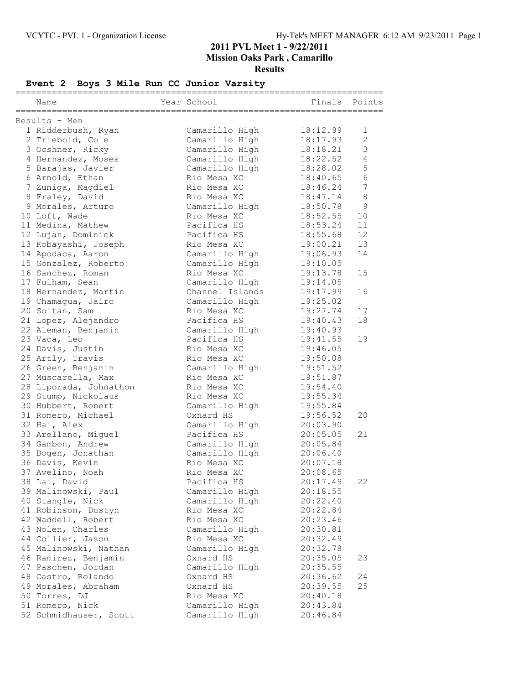# **Event 2 Boys 3 Mile Run CC Junior Varsity**

|                        |                 | =========== |                 |
|------------------------|-----------------|-------------|-----------------|
| Name                   | Year School     | Finals      | Points          |
| Results - Men          |                 |             |                 |
| 1 Ridderbush, Ryan     | Camarillo High  | 18:12.99    | 1               |
| 2 Triebold, Cole       | Camarillo High  | 18:17.93    | $\mathbf{2}$    |
| 3 Ocshner, Ricky       | Camarillo High  | 18:18.21    | 3               |
|                        |                 |             |                 |
| 4 Hernandez, Moses     | Camarillo High  | 18:22.52    | $\sqrt{4}$      |
| 5 Barajas, Javier      | Camarillo High  | 18:28.02    | 5               |
| 6 Arnold, Ethan        | Rio Mesa XC     | 18:40.65    | $6\,$           |
| 7 Zuniga, Magdiel      | Rio Mesa XC     | 18:46.24    | $7\phantom{.0}$ |
| 8 Fraley, David        | Rio Mesa XC     | 18:47.14    | $\,8\,$         |
| 9 Morales, Arturo      | Camarillo High  | 18:50.78    | $\mathsf 9$     |
| 10 Loft, Wade          | Rio Mesa XC     | 18:52.55    | 10              |
| 11 Medina, Mathew      | Pacifica HS     | 18:53.24    | 11              |
| 12 Lujan, Dominick     | Pacifica HS     | 18:55.68    | 12              |
| 13 Kobayashi, Joseph   | Rio Mesa XC     | 19:00.21    | 13              |
| 14 Apodaca, Aaron      | Camarillo High  | 19:06.93    | 14              |
| 15 Gonzalez, Roberto   | Camarillo High  | 19:10.05    |                 |
| 16 Sanchez, Roman      | Rio Mesa XC     | 19:13.78    | 15              |
| 17 Fulham, Sean        | Camarillo High  | 19:14.05    |                 |
| 18 Hernandez, Martin   | Channel Islands | 19:17.99    | 16              |
| 19 Chamagua, Jairo     | Camarillo High  | 19:25.02    |                 |
| 20 Soltan, Sam         | Rio Mesa XC     | 19:27.74    | 17              |
| 21 Lopez, Alejandro    | Pacifica HS     | 19:40.43    | 18              |
| 22 Aleman, Benjamin    | Camarillo High  | 19:40.93    |                 |
| 23 Vaca, Leo           | Pacifica HS     | 19:41.55    | 19              |
| 24 Davis, Justin       | Rio Mesa XC     | 19:46.05    |                 |
| 25 Artly, Travis       | Rio Mesa XC     | 19:50.08    |                 |
| 26 Green, Benjamin     | Camarillo High  | 19:51.52    |                 |
| 27 Muscarella, Max     | Rio Mesa XC     | 19:51.87    |                 |
|                        | Rio Mesa XC     |             |                 |
| 28 Liporada, Johnathon |                 | 19:54.40    |                 |
| 29 Stump, Nickolaus    | Rio Mesa XC     | 19:55.34    |                 |
| 30 Hubbert, Robert     | Camarillo High  | 19:55.84    |                 |
| 31 Romero, Michael     | Oxnard HS       | 19:56.52    | 20              |
| 32 Hai, Alex           | Camarillo High  | 20:03.90    |                 |
| 33 Arellano, Miguel    | Pacifica HS     | 20:05.05    | 21              |
| 34 Gambon, Andrew      | Camarillo High  | 20:05.84    |                 |
| 35 Bogen, Jonathan     | Camarillo High  | 20:06.40    |                 |
| 36 Davis, Kevin        | Rio Mesa XC     | 20:07.18    |                 |
| 37 Avelino, Noah       | Rio Mesa XC     | 20:08.65    |                 |
| 38 Lai, David          | Pacifica HS     | 20:17.49    | 22              |
| 39 Malinowski, Paul    | Camarillo High  | 20:18.55    |                 |
| 40 Stangle, Nick       | Camarillo High  | 20:22.40    |                 |
| 41 Robinson, Dustyn    | Rio Mesa XC     | 20:22.84    |                 |
| 42 Waddell, Robert     | Rio Mesa XC     | 20:23.46    |                 |
| 43 Nolen, Charles      | Camarillo High  | 20:30.81    |                 |
| 44 Collier, Jason      | Rio Mesa XC     | 20:32.49    |                 |
| 45 Malinowski, Nathan  | Camarillo High  | 20:32.78    |                 |
| 46 Ramirez, Benjamin   | Oxnard HS       | 20:35.05    | 23              |
| 47 Paschen, Jordan     | Camarillo High  | 20:35.55    |                 |
| 48 Castro, Rolando     | Oxnard HS       | 20:36.62    | 24              |
| 49 Morales, Abraham    | Oxnard HS       | 20:39.55    | 25              |
| 50 Torres, DJ          | Rio Mesa XC     | 20:40.18    |                 |
| 51 Romero, Nick        | Camarillo High  | 20:43.84    |                 |
| 52 Schmidhauser, Scott | Camarillo High  | 20:46.84    |                 |
|                        |                 |             |                 |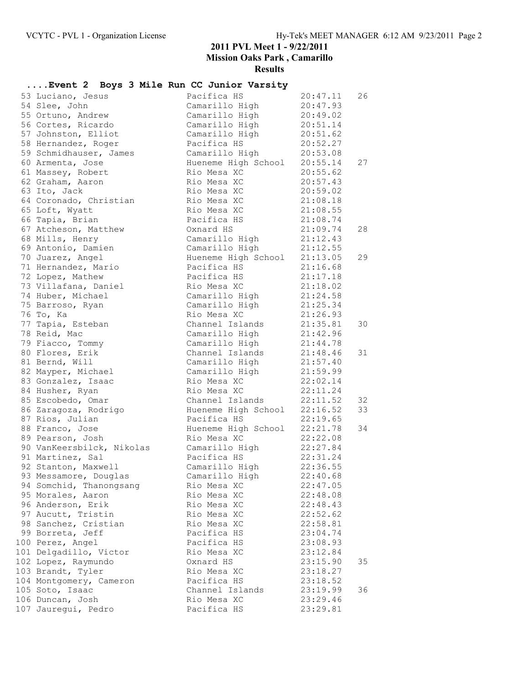## **....Event 2 Boys 3 Mile Run CC Junior Varsity**

| 53 Luciano, Jesus         | Pacifica HS                    | 20:47.11                         | 26 |
|---------------------------|--------------------------------|----------------------------------|----|
| 54 Slee, John             | Camarillo High                 | 20:47.93                         |    |
| 55 Ortuno, Andrew         | Camarillo High 20:49.02        |                                  |    |
| 56 Cortes, Ricardo        | Camarillo High                 | 20:51.14<br>20:51.62<br>20:52.27 |    |
| 57 Johnston, Elliot       | Camarillo High                 |                                  |    |
| 58 Hernandez, Roger       | Pacifica HS                    | 20:52.27                         |    |
| 59 Schmidhauser, James    | Camarillo High                 | 20:53.08                         |    |
| 60 Armenta, Jose          | Hueneme High School 20:55.14   |                                  | 27 |
| 61 Massey, Robert         | Rio Mesa XC                    | 20:55.62                         |    |
| 62 Graham, Aaron          | Rio Mesa XC                    | 20:57.43                         |    |
| 63 Ito, Jack              | Rio Mesa XC                    | 20:59.02                         |    |
| 64 Coronado, Christian    | Rio Mesa XC                    | 21:08.18                         |    |
| 65 Loft, Wyatt            | Rio Mesa XC                    | 21:08.55                         |    |
| 66 Tapia, Brian           | Pacifica HS                    | 21:08.74                         |    |
| 67 Atcheson, Matthew      | Oxnard HS                      | 21:09.74                         | 28 |
| 68 Mills, Henry           | Camarillo High                 |                                  |    |
| 69 Antonio, Damien        | Camarillo High                 | 21:12.43<br>21:12.55             |    |
| 70 Juarez, Angel          | Hueneme High School 21:13.05   |                                  | 29 |
| 71 Hernandez, Mario       | Pacifica HS                    | 21:16.68                         |    |
| 72 Lopez, Mathew          | Pacifica HS                    | 21:17.18                         |    |
| 73 Villafana, Daniel      | Rio Mesa XC                    | 21:18.02                         |    |
| 74 Huber, Michael         | Camarillo High                 | 21:24.58                         |    |
| 75 Barroso, Ryan          | Camarillo High                 |                                  |    |
| 76 То, Ка                 | Rio Mesa XC                    | 21:25.34<br>21:26.93             |    |
| 77 Tapia, Esteban         | Channel Islands 21:35.81       |                                  | 30 |
| 78 Reid, Mac              | Camarillo High 21:42.96        |                                  |    |
| 79 Fiacco, Tommy          | Camarillo High                 | 21:44.78                         |    |
| 80 Flores, Erik           | Channel Islands                | 21:48.46                         | 31 |
| 81 Bernd, Will            | Camarillo High                 | 21:57.40                         |    |
| 82 Mayper, Michael        | Camarillo High                 | 21:59.99                         |    |
| 83 Gonzalez, Isaac        | Rio Mesa XC                    | 22:02.14                         |    |
| 84 Husher, Ryan           | Rio Mesa XC                    | 22:11.24                         |    |
| 85 Escobedo, Omar         | Channel Islands                | 22:11.52                         | 32 |
| 86 Zaragoza, Rodrigo      | Hueneme High School $22:16.52$ |                                  | 33 |
| 87 Rios, Julian           | Pacifica HS                    | 22:19.65                         |    |
| 88 Franco, Jose           | Hueneme High School 22:21.78   |                                  | 34 |
| 89 Pearson, Josh          | Rio Mesa XC                    | 22:22.08                         |    |
| 90 VanKeersbilck, Nikolas | Camarillo High 22:27.84        |                                  |    |
| 91 Martinez, Sal          | Pacifica HS                    | 22:31.24                         |    |
| 92 Stanton, Maxwell       | Camarillo High                 | 22:36.55                         |    |
| 93 Messamore, Douglas     | Camarillo High                 | 22:40.68                         |    |
| 94 Somchid, Thanongsang   | Rio Mesa XC                    | 22:47.05                         |    |
| 95 Morales, Aaron         | Rio Mesa XC                    | 22:48.08                         |    |
| 96 Anderson, Erik         | Rio Mesa XC                    | 22:48.43                         |    |
| 97 Aucutt, Tristin        | Rio Mesa XC                    | 22:52.62                         |    |
| 98 Sanchez, Cristian      | Rio Mesa XC                    | 22:58.81                         |    |
| 99 Borreta, Jeff          | Pacifica HS                    | 23:04.74                         |    |
| 100 Perez, Angel          | Pacifica HS                    | 23:08.93                         |    |
| 101 Delgadillo, Victor    | Rio Mesa XC                    | 23:12.84                         |    |
| 102 Lopez, Raymundo       | Oxnard HS                      | 23:15.90                         | 35 |
| 103 Brandt, Tyler         | Rio Mesa XC                    | 23:18.27                         |    |
| 104 Montgomery, Cameron   | Pacifica HS                    | 23:18.52                         |    |
| 105 Soto, Isaac           | Channel Islands                | 23:19.99                         | 36 |
| 106 Duncan, Josh          | Rio Mesa XC                    | 23:29.46                         |    |
| 107 Jauregui, Pedro       | Pacifica HS                    | 23:29.81                         |    |
|                           |                                |                                  |    |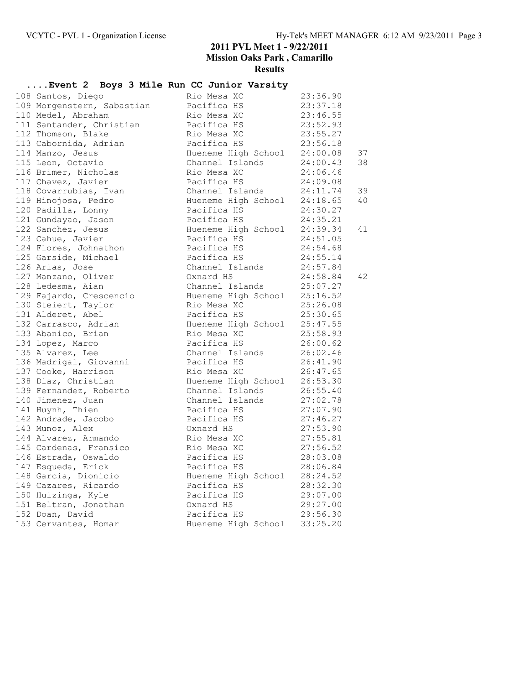## **....Event 2 Boys 3 Mile Run CC Junior Varsity**

| 108 Santos, Diego          | Rio Mesa XC                                                                  | 23:36.90             |    |
|----------------------------|------------------------------------------------------------------------------|----------------------|----|
| 109 Morgenstern, Sabastian | Pacifica HS                                                                  | 23:37.18             |    |
| 110 Medel, Abraham         |                                                                              |                      |    |
| 111 Santander, Christian   |                                                                              |                      |    |
| 112 Thomson, Blake         | Rio Mesa XC<br>Pacifica HS<br>Rio Mesa XC<br>23:55.27                        |                      |    |
| 113 Cabornida, Adrian      | Pacifica HS                                                                  | 23:56.18             |    |
| 114 Manzo, Jesus           | Hueneme High School 24:00.08                                                 |                      | 37 |
| 115 Leon, Octavio          | Channel Islands                                                              | 24:00.43             | 38 |
| 116 Brimer, Nicholas       |                                                                              | 24:06.46             |    |
| 117 Chavez, Javier         | Rio Mesa XC<br>Pacifica HS                                                   | 24:09.08             |    |
| 118 Covarrubias, Ivan      | Channel Islands                                                              | 24:11.74             | 39 |
| 119 Hinojosa, Pedro        |                                                                              |                      | 40 |
| 120 Padilla, Lonny         | Hueneme High School 24:18.65<br>Pacifica HS 24:30.27<br>Pacifica HS 24:35.21 |                      |    |
| 121 Gundayao, Jason        |                                                                              |                      |    |
| 122 Sanchez, Jesus         | Hueneme High School 24:39.34                                                 |                      | 41 |
| 123 Cahue, Javier          | Pacifica HS                                                                  | 24:51.05             |    |
| 124 Flores, Johnathon      |                                                                              | 24:54.68             |    |
| 125 Garside, Michael       | Pacifica HS<br>Pacifica HS                                                   | 24:55.14             |    |
| 126 Arias, Jose            | Channel Islands 24:57.84                                                     |                      |    |
| 127 Manzano, Oliver        | Oxnard HS                                                                    | 24:58.84             | 42 |
| 128 Ledesma, Aian          | Channel Islands 25:07.27                                                     |                      |    |
| 129 Fajardo, Crescencio    |                                                                              |                      |    |
| 130 Steiert, Taylor        | Hueneme High School $25:16.52$<br>Rio Mesa XC                                | 25:26.08             |    |
| 131 Alderet, Abel          | Pacifica HS                                                                  | 25:30.65             |    |
| 132 Carrasco, Adrian       |                                                                              | 25:47.55             |    |
| 133 Abanico, Brian         | Hueneme High School<br>Wallens High School                                   | 25:58.93             |    |
| 134 Lopez, Marco           | Rio Mesa XC<br>Pacifica HS                                                   | 26:00.62             |    |
| 135 Alvarez, Lee           | Channel Islands                                                              | 26:02.46             |    |
| 136 Madrigal, Giovanni     | Pacifica HS                                                                  | 26:41.90             |    |
| 137 Cooke, Harrison        |                                                                              |                      |    |
| 138 Diaz, Christian        | Rio Mesa XC 26:47.65<br>Hueneme High School 26:53.30                         |                      |    |
| 139 Fernandez, Roberto     | Channel Islands                                                              | 26:55.40             |    |
| 140 Jimenez, Juan          | Channel Islands                                                              |                      |    |
| 141 Huynh, Thien           | Pacifica HS                                                                  | 27:02.78<br>27:07.90 |    |
| 142 Andrade, Jacobo        | Pacifica HS                                                                  | 27:46.27             |    |
| 143 Munoz, Alex            | Oxnard HS                                                                    | 27:53.90             |    |
| 144 Alvarez, Armando       | Rio Mesa XC 27:55.81                                                         |                      |    |
| 145 Cardenas, Fransico     | Rio Mesa XC                                                                  | 27:56.52             |    |
| 146 Estrada, Oswaldo       | Pacifica HS                                                                  | 28:03.08             |    |
| 147 Esqueda, Erick         | Pacifica HS                                                                  | 28:06.84             |    |
| 148 Garcia, Dionicio       | Hueneme High School                                                          | 28:24.52             |    |
| 149 Cazares, Ricardo       | Pacifica HS                                                                  | 28:32.30             |    |
| 150 Huizinga, Kyle         | Pacifica HS                                                                  | 29:07.00             |    |
| 151 Beltran, Jonathan      | Oxnard HS                                                                    | 29:27.00             |    |
| 152 Doan, David            | Pacifica HS 29:56.30                                                         |                      |    |
| 153 Cervantes, Homar       | Hueneme High School                                                          | 33:25.20             |    |
|                            |                                                                              |                      |    |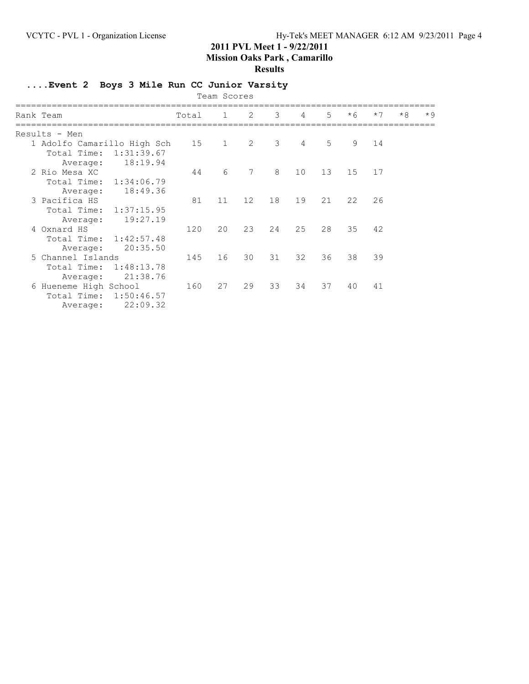#### **Results**

## **....Event 2 Boys 3 Mile Run CC Junior Varsity**

|                                                                                     |       | Team Scores  |                 |    |                |       |      |      |      |      |
|-------------------------------------------------------------------------------------|-------|--------------|-----------------|----|----------------|-------|------|------|------|------|
| Rank Team                                                                           | Total | $\mathbf{1}$ | 2               | 3  | $\overline{4}$ | $5 -$ | $*6$ | $*7$ | $*8$ | $*9$ |
| Results - Men                                                                       |       |              |                 |    |                |       |      |      |      |      |
| 1 Adolfo Camarillo High Sch 15<br>1:31:39.67<br>Total Time:<br>18:19.94<br>Average: |       | $\mathbf{1}$ | 2               | 3  | 4              | 5     | 9    | 14   |      |      |
| 2 Rio Mesa XC<br>Total Time: 1:34:06.79<br>18:49.36<br>Average:                     | 44    | 6            | $7\phantom{.0}$ | 8  | 10             | 13    | 15   | 17   |      |      |
| 3 Pacifica HS<br>Total Time: 1:37:15.95<br>19:27.19<br>Average:                     | 81    | 11           | 12              | 18 | 19             | 21    | 22   | 26   |      |      |
| 4 Oxnard HS<br>Total Time: 1:42:57.48<br>20:35.50<br>Average:                       | 120   | 20           | 23              | 24 | 25             | 28    | 35   | 42   |      |      |
| 5 Channel Islands<br>1:48:13.78<br>Total Time:<br>21:38.76<br>Average:              | 145   | 16           | 30              | 31 | 32             | 36    | 38   | 39   |      |      |
| 6 Hueneme High School<br>Total Time: 1:50:46.57<br>22:09.32<br>Average:             | 160   | 27           | 29              | 33 | 34             | 37    | 40   | 41   |      |      |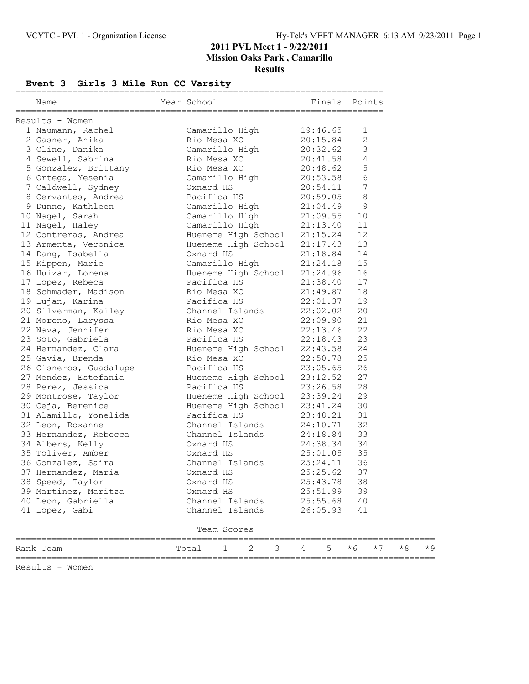## **Event 3 Girls 3 Mile Run CC Varsity**

| Name      |                                                          | Year School |                                                              |                      | Finals Points        |          |                 |      |      |       |
|-----------|----------------------------------------------------------|-------------|--------------------------------------------------------------|----------------------|----------------------|----------|-----------------|------|------|-------|
|           | Results - Women                                          |             |                                                              |                      |                      |          |                 |      |      |       |
|           | 1 Naumann, Rachel                                        |             | Camarillo High                                               |                      | 19:46.65             |          | 1               |      |      |       |
|           | 2 Gasner, Anika                                          |             |                                                              |                      | 20:15.84             |          | 2               |      |      |       |
|           | 3 Cline, Danika                                          |             | Rio Mesa<br>Camarillo High<br>All You                        |                      | 20:32.62             |          | 3               |      |      |       |
|           | 4 Sewell, Sabrina                                        |             | Rio Mesa XC                                                  |                      | 20:41.58             |          | 4               |      |      |       |
|           | 5 Gonzalez, Brittany                                     |             | Rio Mesa XC                                                  |                      | 20:48.62             |          | 5               |      |      |       |
|           | 6 Ortega, Yesenia                                        |             | Camarillo High 20:53.58                                      |                      |                      |          | 6               |      |      |       |
|           | 7 Caldwell, Sydney                                       |             |                                                              |                      |                      |          | $7\phantom{.0}$ |      |      |       |
|           |                                                          |             |                                                              |                      | 20:54.11<br>20:59.05 |          | $\,8\,$         |      |      |       |
|           | 8 Cervantes, Andrea<br>0 Dunne Kathleen                  |             | Oxnard HS<br>Pacifica HS<br>Camarillo High<br>Camarillo High |                      | 21:04.49             |          | 9               |      |      |       |
|           | 10 Nagel, Sarah                                          |             | Camarillo High 21:09.55                                      |                      |                      |          | 10              |      |      |       |
|           | 11 Nagel, Haley                                          |             | Camarillo High 21:13.40                                      |                      |                      |          | 11              |      |      |       |
|           | 12 Contreras, Andrea                                     |             | Hueneme High School 21:15.24                                 |                      |                      |          | 12              |      |      |       |
|           | 13 Armenta, Veronica                                     |             | Hueneme High School $21:17.43$                               |                      |                      |          | 13              |      |      |       |
|           | 14 Dang, Isabella                                        | Oxnard HS   |                                                              |                      | 21:18.84             |          | 14              |      |      |       |
|           | 15 Kippen, Marie                                         |             | Camarillo High 21:24.18                                      |                      |                      |          | 15              |      |      |       |
|           | 16 Huizar, Lorena                                        |             | Hueneme High School 21:24.96                                 |                      |                      |          | 16              |      |      |       |
|           | 17 Lopez, Rebeca                                         | Pacifica HS |                                                              | 21:38.40             |                      |          | 17              |      |      |       |
|           | 18 Schmader, Madison Rio Mesa XC                         |             |                                                              | 21:49.87             |                      |          | 18              |      |      |       |
|           | 19 Lujan, Karina                                         |             |                                                              |                      | 22:01.37             |          | 19              |      |      |       |
|           |                                                          |             |                                                              |                      |                      |          | 20              |      |      |       |
|           | 20 Silverman, Kailey<br>21 Moreno, Laryssa               |             | Pacifica HS<br>Channel Islands<br>Rio Mesa XC                |                      | 22:02.02<br>22:09.90 |          | 21              |      |      |       |
|           | 22 Nava, Jennifer                                        |             | Rio Mesa XC 22:13.46                                         |                      |                      |          | 22              |      |      |       |
|           | 23 Soto, Gabriela                                        | Pacifica HS |                                                              | 22:18.43             |                      |          | 23              |      |      |       |
|           | 24 Hernandez, Clara (Europa Hueneme High School 22:43.58 |             |                                                              |                      |                      |          | 24              |      |      |       |
|           | 25 Gavia, Brenda                                         | Rio Mesa XC |                                                              |                      |                      |          | 25              |      |      |       |
|           |                                                          | Pacifica HS |                                                              | 22:50.78<br>23:05.65 | 23:05.65             |          | 26              |      |      |       |
|           | 26 Cisneros, Guadalupe<br>27 Mendez, Estefania           |             | Hueneme High School 23:12.52                                 |                      |                      |          | 27              |      |      |       |
|           | 28 Perez, Jessica                                        | Pacifica HS |                                                              | 23:26.58             |                      |          | 28              |      |      |       |
|           | 29 Montrose, Taylor                                      |             | Hueneme High School 23:39.24                                 |                      |                      |          | 29              |      |      |       |
|           | 30 Ceja, Berenice                                        |             | Hueneme High School 23:41.24                                 |                      |                      |          | 30              |      |      |       |
|           | 31 Alamillo, Yonelida                                    | Pacifica HS |                                                              |                      | 23:48.21             |          | 31              |      |      |       |
|           | 32 Leon, Roxanne                                         |             | Channel Islands                                              |                      | 24:10.71             |          | 32              |      |      |       |
|           | 33 Hernandez, Rebecca                                    |             | Channel Islands                                              |                      | 24:18.84             |          | 33              |      |      |       |
|           | 34 Albers, Kelly                                         | Oxnard HS   |                                                              |                      | 24:38.34             |          | 34              |      |      |       |
|           | 35 Toliver, Amber                                        | Oxnard HS   |                                                              |                      | 25:01.05             |          | 35              |      |      |       |
|           | 36 Gonzalez, Saira                                       |             | Channel Islands 25:24.11                                     |                      |                      |          | 36              |      |      |       |
|           | 37 Hernandez, Maria                                      | Oxnard HS   |                                                              |                      | 25:25.62             |          | 37              |      |      |       |
|           | 38 Speed, Taylor                                         | Oxnard HS   |                                                              |                      | 25:43.78             |          | 38              |      |      |       |
|           | 39 Martinez, Maritza                                     | Oxnard HS   |                                                              |                      | 25:51.99             |          | 39              |      |      |       |
|           | 40 Leon, Gabriella                                       |             | Channel Islands                                              |                      |                      | 25:55.68 | 40              |      |      |       |
|           | 41 Lopez, Gabi                                           |             | Channel Islands                                              |                      | 26:05.93             |          | 41              |      |      |       |
|           |                                                          |             | Team Scores                                                  |                      |                      |          |                 |      |      |       |
|           |                                                          |             |                                                              |                      |                      |          |                 |      |      |       |
| Rank Team |                                                          | Total       | 2<br>1                                                       | 3                    | 4                    | 5        | $*6$            | $*7$ | $*8$ | $*$ 9 |

Results - Women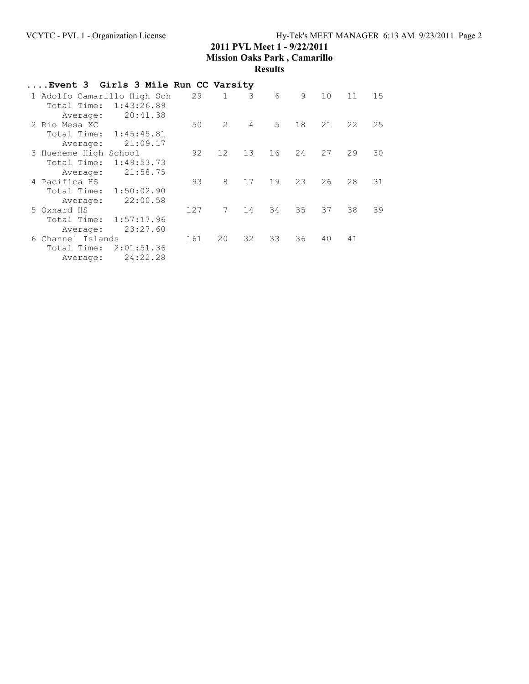| Event 3 Girls 3 Mile Run CC Varsity |            |     |              |                |                |    |                 |    |    |
|-------------------------------------|------------|-----|--------------|----------------|----------------|----|-----------------|----|----|
| 1 Adolfo Camarillo High Sch         |            | 29  | $\mathbf{1}$ | 3              | 6              | 9  | 10 <sup>°</sup> | 11 | 15 |
| Total Time:                         | 1:43:26.89 |     |              |                |                |    |                 |    |    |
| Average:                            | 20:41.38   |     |              |                |                |    |                 |    |    |
| 2 Rio Mesa XC                       |            | 50  | $2^{\circ}$  | $\overline{4}$ | 5 <sup>1</sup> | 18 | 21              | 22 | 25 |
| Total Time: 1:45:45.81              |            |     |              |                |                |    |                 |    |    |
| Average:                            | 21:09.17   |     |              |                |                |    |                 |    |    |
| 3 Hueneme High School               |            | 92  | 12           | 13             | 16             | 24 | 27              | 29 | 30 |
| Total Time:                         | 1:49:53.73 |     |              |                |                |    |                 |    |    |
| Average:                            | 21:58.75   |     |              |                |                |    |                 |    |    |
| 4 Pacifica HS                       |            | 93  | 8            | 17             | 19             | 23 | 26              | 28 | 31 |
| Total Time:                         | 1:50:02.90 |     |              |                |                |    |                 |    |    |
| Average:                            | 22:00.58   |     |              |                |                |    |                 |    |    |
| 5 Oxnard HS                         |            | 127 | 7            | 14             | 34             | 35 | 37              | 38 | 39 |
| Total Time:                         | 1:57:17.96 |     |              |                |                |    |                 |    |    |
| Average:                            | 23:27.60   |     |              |                |                |    |                 |    |    |
| 6 Channel Islands                   |            | 161 | 20           | 32             | 33             | 36 | 40              | 41 |    |
| Total Time:                         | 2:01:51.36 |     |              |                |                |    |                 |    |    |
| Average:                            | 24:22.28   |     |              |                |                |    |                 |    |    |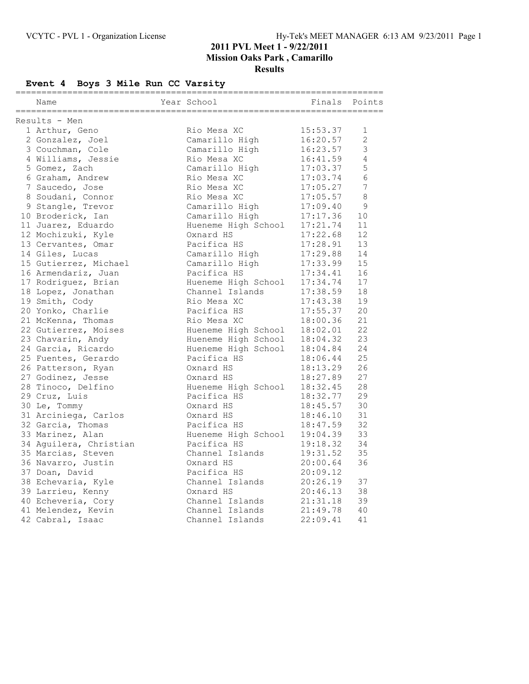# **Event 4 Boys 3 Mile Run CC Varsity**

| ===========================<br>Name | Year School                                | Finals                   | Points         |
|-------------------------------------|--------------------------------------------|--------------------------|----------------|
| Results - Men                       |                                            |                          |                |
| 1 Arthur, Geno                      | Rio Mesa XC                                | 15:53.37                 | 1              |
| 2 Gonzalez, Joel                    | Camarillo High                             | 16:20.57                 | $\overline{2}$ |
| 3 Couchman, Cole                    | Camarillo High                             | 16:23.57                 | 3              |
| 4 Williams, Jessie                  | Rio Mesa XC                                |                          | $\overline{4}$ |
| 5 Gomez, Zach                       | Camarillo High                             | 16:41.59<br>17:03.37     | 5              |
| 6 Graham, Andrew                    | Rio Mesa XC                                | 17:03.74                 | 6              |
| 7 Saucedo, Jose                     | Rio Mesa XC                                | 17:05.27                 | $\sqrt{ }$     |
| 8 Soudani, Connor                   | Rio Mesa XC                                | 17:05.57                 | 8              |
| 9 Stangle, Trevor                   | Camarillo High                             | 17:09.40                 | 9              |
| 10 Broderick, Ian                   | Camarillo High                             | 17:17.36                 | 10             |
| 11 Juarez, Eduardo                  | Hueneme High School                        | 17:21.74                 | 11             |
| 12 Mochizuki, Kyle                  | Oxnard HS                                  |                          | 12             |
| 13 Cervantes, Omar                  | Pacifica HS                                | 17:22.68<br>17:28.91     | 13             |
| 14 Giles, Lucas                     | Camarillo High                             | 17:29.88                 | 14             |
| 15 Gutierrez, Michael               | Camarillo High                             | 17:33.99                 | 15             |
| 16 Armendariz, Juan                 | Pacifica HS                                | 17:34.41                 | 16             |
| 17 Rodriguez, Brian                 | Hueneme High School                        |                          | 17             |
| 18 Lopez, Jonathan                  | Channel Islands                            | 17:34.74<br>17:38.59     | 18             |
| 19 Smith, Cody                      | Rio Mesa XC                                | 17:43.38                 | 19             |
| 20 Yonko, Charlie                   | Pacifica HS                                |                          | 20             |
| 21 McKenna, Thomas                  | Rio Mesa XC                                | 17:55.37<br>18:00.36     | 21             |
| 22 Gutierrez, Moises                | Hueneme High School                        | 18:02.01                 | 22             |
| 23 Chavarin, Andy                   |                                            |                          | 23             |
| 24 Garcia, Ricardo                  | Hueneme High School<br>Hueneme High School | $18:04.32$<br>$18:04.84$ | 24             |
| 25 Fuentes, Gerardo                 | Pacifica HS                                | 18:06.44                 | 25             |
| 26 Patterson, Ryan                  | Oxnard HS                                  | 18:13.29                 | 26             |
| 27 Godinez, Jesse                   | Oxnard HS                                  | 18:27.89                 | 27             |
| 28 Tinoco, Delfino                  | Hueneme High School                        | 18:32.45                 | 28             |
| 29 Cruz, Luis                       | Pacifica HS                                | 18:32.77                 | 29             |
| 30 Le, Tommy                        | Oxnard HS                                  | 18:45.57                 | 30             |
| 31 Arciniega, Carlos                | Oxnard HS                                  |                          | 31             |
| 32 Garcia, Thomas                   | Pacifica HS                                | 18:46.10<br>18:47.59     | 32             |
| 33 Marinez, Alan                    | Hueneme High School                        | 19:04.39                 | 33             |
| 34 Aguilera, Christian              | Pacifica HS                                |                          | 34             |
| 35 Marcias, Steven                  | Channel Islands                            | 19:18.32<br>19:31.52     | 35             |
| 36 Navarro, Justin                  | Oxnard HS                                  | 20:00.64                 | 36             |
| 37 Doan, David                      | Pacifica HS                                | 20:09.12                 |                |
| 38 Echevaria, Kyle                  | Channel Islands                            | 20:26.19                 | 37             |
| 39 Larrieu, Kenny                   | Oxnard HS                                  | 20:46.13                 | 38             |
| 40 Echeveria, Cory                  | Channel Islands                            | 21:31.18                 | 39             |
| 41 Melendez, Kevin                  | Channel Islands                            | 21:49.78                 | 40             |
| 42 Cabral, Isaac                    | Channel Islands                            | 22:09.41                 | 41             |